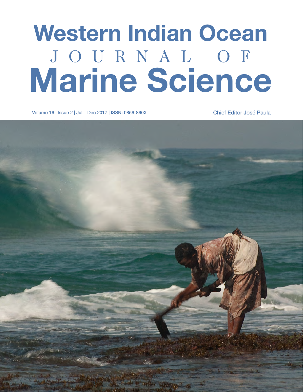# Western Indian Ocean J O U R N A L O F Marine Science

Volume 16 | Issue 2 | Jul – Dec 2017 | ISSN: 0856-860X Chief Editor José Paula

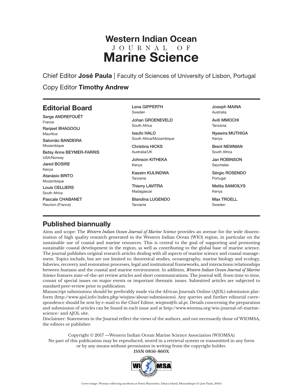## Western Indian Ocean J O U R N A L O F Marine Science

Chief Editor José Paula | Faculty of Sciences of University of Lisbon, Portugal

### Copy Editor Timothy Andrew

## Editorial Board

Serge ANDREFOUËT France Ranjeet BHAGOOLI Mauritius Salomão BANDEIRA Mozambique Betsy Anne BEYMER-FARRIS USA/Norway Jared BOSIRE Kenya Atanásio BRITO Mozambique Louis CELLIERS South Africa Pascale CHABANET Reunion (France)

#### Lena GIPPERTH Sweden

Johan GROENEVELD South Africa

Issufo HALO South Africa/Mozambique

Christina HICKS Australia/UK

Johnson KITHEKA Kenya

Kassim KULINDWA Tanzania

Thierry LAVITRA Madagascar

Blandina LUGENDO Tanzania

Joseph MAINA Australia

Aviti MMOCHI Tanzania

Nyawira MUTHIGA Kenya

Brent NEWMAN South Africa

Jan ROBINSON **Sevcheles** 

Sérgio ROSENDO Portugal

Melita SAMOILYS Kenya

Max TROELL Sweden

## Published biannually

Aims and scope: The *Western Indian Ocean Journal of Marine Science* provides an avenue for the wide dissemination of high quality research generated in the Western Indian Ocean (WIO) region, in particular on the sustainable use of coastal and marine resources. This is central to the goal of supporting and promoting sustainable coastal development in the region, as well as contributing to the global base of marine science. The journal publishes original research articles dealing with all aspects of marine science and coastal management. Topics include, but are not limited to: theoretical studies, oceanography, marine biology and ecology, fisheries, recovery and restoration processes, legal and institutional frameworks, and interactions/relationships between humans and the coastal and marine environment. In addition, *Western Indian Ocean Journal of Marine Science* features state-of-the-art review articles and short communications. The journal will, from time to time, consist of special issues on major events or important thematic issues. Submitted articles are subjected to standard peer-review prior to publication.

Manuscript submissions should be preferably made via the African Journals Online (AJOL) submission platform (http://www.ajol.info/index.php/wiojms/about/submissions). Any queries and further editorial correspondence should be sent by e-mail to the Chief Editor, wiojms@fc.ul.pt. Details concerning the preparation and submission of articles can be found in each issue and at http://www.wiomsa.org/wio-journal-of-marinescience/ and AJOL site.

Disclaimer: Statements in the Journal reflect the views of the authors, and not necessarily those of WIOMSA, the editors or publisher.

Copyright © 2017 —Western Indian Ocean Marine Science Association (WIOMSA) No part of this publication may be reproduced, stored in a retrieval system or transmitted in any form or by any means without permission in writing from the copyright holder. **ISSN 0856-860X**

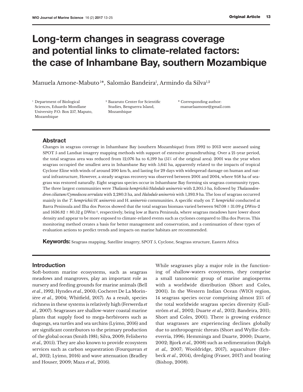# Long-term changes in seagrass coverage and potential links to climate-related factors: the case of Inhambane Bay, southern Mozambique

Manuela Amone-Mabuto1\*, Salomão Bandeira<sup>1</sup>, Armindo da Silva<sup>1,2</sup>

<sup>1</sup> Department of Biological Sciences, Eduardo Mondlane University P.O. Box 257, Maputo, Mozambique

<sup>2</sup> Bazaruto Center for Scientific Studies, Benguerra Island, Mozambique

\* Corresponding author: manuelaamone@gmail.com

#### Abstract

Changes in seagrass coverage in Inhambane Bay (southern Mozambique) from 1992 to 2013 were assessed using SPOT 5 and Landsat imagery mapping methods with support of extensive groundtruthing. Over a 21-year period, the total seagrass area was reduced from 12,076 ha to 6,199 ha (51% of the original area). 2001 was the year when seagrass occupied the smallest area in Inhambane Bay with 5,641 ha, apparently related to the impacts of tropical Cyclone Eline with winds of around 200 km/h, and lasting for 29 days with widespread damage on human and natural infrastructure, However, a steady seagrass recovery was observed between 2001 and 2004, where 958 ha of seagrass was restored naturally. Eight seagrass species occur in Inhambane Bay forming six seagrass community types. The three largest communities were *Thalassia hemprichii/Halodule uninervis* with 2,305.5 ha, followed by *Thalassodendron ciliatum/Cymodocea serrulata* with 2,280.3 ha, and *Halodule uninervis* with 1,393.9 ha. The loss of seagrass occurred mainly in the *T*. *hemprichii/H*. *uninervis* and H. *uninervis* communities. A specific study on *T. hemprichii* conducted at Barra Peninsula and Ilha dos Porcos showed that the total seagrass biomass varied between 947.08  $\pm$  31.09 g DWm-2 and 1636.82 ± 80.52 g DWm-2, respectively, being low at Barra Peninsula, where seagrass meadows have lower shoot density and appear to be more exposed to climate-related events such as cyclones compared to Ilha dos Porcos. This monitoring method creates a basis for better management and conservation, and a continuation of these types of evaluation actions to predict trends and impacts on marine habitats are recommended.

Keywords: Seagrass mapping, Satellite imagery, SPOT 5, Cyclone, Seagrass structure, Eastern Africa

#### Introduction

Soft-bottom marine ecosystems, such as seagrass meadows and mangroves, play an important role as nursery and feeding grounds for marine animals (Bell *et al*., 1992; Hyndes *et al*., 2003; Cocheret De La Morinière *et al*., 2004; Whitfield, 2017). As a result, species richness in these systems is relatively high (Ferwerda *et al*., 2007). Seagrasses are shallow-water coastal marine plants that supply food to mega-herbivores such as dugongs, sea turtles and sea urchins (Lyimo, 2016) and are significant contributors to the primary production of the global ocean (Smith 1981; Silva, 2009; Felisberto *et al.,* 2015). They are also known to provide ecosystem services such as carbon sequestration (Fourqurean *et al*., 2012; Lyimo, 2016) and wave attenuation (Bradley and Houser, 2009; Maza *et al.,* 2016).

While seagrasses play a major role in the functioning of shallow-waters ecosystems, they comprise a small taxonomic group of marine angiosperms with a worldwide distribution (Short and Coles, 2001). In the Western Indian Ocean (WIO) region, 14 seagrass species occur comprising almost 25% of the total worldwide seagrass species diversity (Gullström *et al*., 2002; Duarte *et al*., 2012; Bandeira, 2011; Short and Coles, 2001). There is growing evidence that seagrasses are experiencing declines globally due to anthropogenic threats (Short and Wyllie-Echeverria, 1996; Hemminga and Duarte, 2000; Duarte, 2002; Bjork *et al.,* 2008) such as sedimentation (Ralph *et al.,* 2007; Wooldridge, 2017), aquaculture (Herbeck *et al*., 2014), dredging (Fraser, 2017) and boating (Bishop, 2008).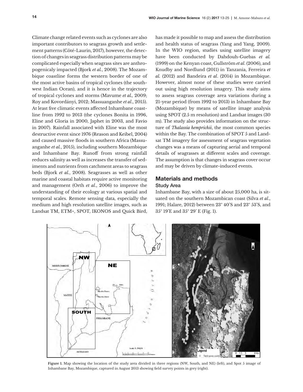Climate change related events such as cyclones are also important contributors to seagrass growth and settlement patterns (Côté-Laurin, 2017), however, the detection of changes in seagrass distribution patterns may be complicated especially when seagrass sites are anthropogenicaly impacted (Bjork *et al.*, 2008). The Mozambique coastline forms the western border of one of the most active basins of tropical cyclones (the southwest Indian Ocean), and it is hence in the trajectory of tropical cyclones and storms (Mavume *et al.,* 2009; Roy and Kovordányi, 2012; Massuanganhe *et al*., 2015). At least five climatic events affected Inhambane coastline from 1992 to 2013 (the cyclones Bonita in 1996, Eline and Gloria in 2000, Japhet in 2003, and Favio in 2007). Rainfall associated with Eline was the most destructive event since 1976 (Reason and Keibel, 2004) and caused massive floods in southern Africa (Massuanganhe *et al.*, 2015), including southern Mozambique and Inhambane Bay. Runoff from strong rainfall reduces salinity as well as increases the transfer of sediments and nutrients from catchment areas to seagrass beds (Bjork *et al.*, 2008). Seagrasses as well as other marine and coastal habitats require active monitoring and management (Orth *et al*., 2006) to improve the understanding of their ecology at various spatial and temporal scales. Remote sensing data, especially the medium and high resolution satellite images, such as Landsat TM, ETM+, SPOT, IKONOS and Quick Bird,

has made it possible to map and assess the distribution and health status of seagrass (Yang and Yang, 2009). In the WIO region, studies using satellite imagery have been conducted by Dahdouh-Guebas *et al.*  (1999) on the Kenyan coast, Gullström *et al*. (2006), and Knudby and Nordlund (2011) in Tanzania, Ferreira *et al.* (2012) and Bandeira *et al*. (2014) in Mozambique. However, almost none of these studies were carried out using high resolution imagery. This study aims to assess seagrass coverage area variations during a 21-year period (from 1992 to 2013) in Inhambane Bay (Mozambique) by means of satellite image analysis using SPOT (2.5 m resolution) and Landsat images (30 m). The study also provides information on the structure of *Thalassia hemprichii*, the most common species within the Bay. The combination of SPOT 5 and Landsat TM imagery for assessment of seagrass vegetation changes was a means of capturing aerial and temporal details of seagrasses at different scales and coverage. The assumption is that changes in seagrass cover occur and may be driven by climate-induced events.

#### Materials and methods Study Area

Inhambane Bay, with a size of about 25,000 ha, is situated on the southern Mozambican coast (Silva *et al*., 1991; Halare, 2012) between 23º 40'S and 23º 53'S, and 35º 19'E and 35º 29' E (Fig. 1).



**Figure 1.** Map showing the location of the study area divided in three regions (NW, South, and NE) (left), and Spot 5 image of Inhambane Bay, Mozambique, captured in August 2013 showing field survey points in grey (right).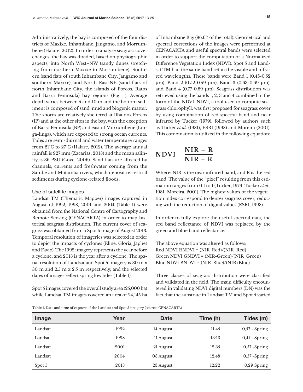Administratively, the bay is composed of the four districts of Maxixe, Inhambane, Jangamo, and Morrumbene (Halare, 2012). In order to analyse seagrass cover changes, the bay was divided, based on physiographic aspects, into North West–NW (sandy dunes stretching from northern Maxixe to Morrumbene), Southern (sand flats of south Inhambane City, Jangamo and southern Maxixe), and North East-NE (sand flats of north Inhambane City, the islands of Porcos, Ratos and Barra Peninsula) bay regions (Fig. 1). Average depth varies between 5 and 10 m and the bottom sediment is composed of sand, mud and biogenic matter. The shores are relatively sheltered at Ilha dos Porcos (IP) and at the other sites in the bay, with the exception of Barra Peninsula (BP) and east of Morrumbene (Linga-linga), which are exposed to strong ocean currents. Tides are semi-diurnal and water temperature ranges from 21°C to 27°C (Halare, 2012). The average annual rainfall is 927 mm (Zacarias, 2013) and the mean salinity is 36 PSU (Gove, 2006). Sand flats are affected by channels, currents and freshwater coming from the Sambe and Mutamba rivers, which deposit terrestrial sediments during cyclone-related floods.

#### Use of satellite images

Landsat TM (Thematic Mapper) images captured in August of 1992, 1998, 2001 and 2004 (Table 1) were obtained from the National Centre of Cartography and Remote Sensing (CENACARTA) in order to map historical seagrass distribution. The current cover of seagrass was obtained from a Spot 5 image of August 2013**.**  Temporal resolution of imageries was selected in order to depict the impacts of cyclones (Eline, Gloria, Japhet and Favio). The 1992 imagery represents the year before a cyclone, and 2013 is the year after a cyclone. The spatial resolution of Landsat and Spot 5 imagery is 30 m x 30 m and 2.5 m x 2.5 m respectively, and the selected dates of images reflect spring low tides (Table 1).

Spot 5 images covered the overall study area (25,000 ha) while Landsat TM images covered an area of 24,145 ha of Inhambane Bay (96.6% of the total). Geometrical and spectral corrections of the images were performed at CENACARTA and useful spectral bands were selected in order to support the computation of a Normalized Difference Vegetation Index (NDVI). Spot 5 and Landsat TM had the same band set in the visible and infrared wavelengths. These bands were Band 1 (0.45-0.52 μm), Band 2 (0.52-0.59 μm), Band 3 (0.63-0.69 μm), and Band 4 (0.77-0.89 μm). Seagrass distribution was retrieved using the bands 1, 2, 3 and 4 combined in the form of the NDVI. NDVI, a tool used to compute seagrass chlorophyll, was first proposed for seagrass cover by using combination of red spectral band and near infrared by Tucker (1979), followed by authors such as Tucker *et al*. (1981), ESRI (1998) and Moreira (2001). This combination is utilized in the following equation:

$$
NDVI = \frac{NIR - R}{NIR + R}
$$

Where: NIR is the near infrared band, and R is the red band. The value of the "pixel" resulting from this estimation ranges from 0.1 to 1 (Tucker, 1979; Tucker *et al*., 1981; Moreira, 2001). The highest values of the vegetation index correspond to denser seagrass cover, reducing with the reduction of digital values (ESRI, 1998).

In order to fully explore the useful spectral data, the red band reflectance of NDVI was replaced by the green and blue band reflectance.

The above equation was altered as follows: Red NDVI RNDVI = (NIR-Red)/(NIR+Red) Green NDVI GNDVI = (NIR-Green)/(NIR+Green) Blue NDVI BNDVI = (NIR-Blue)/(NIR+Blue)

Three classes of seagrass distribution were classified and validated in the field. The main difficulty encountered in validating NDVI digital numbers (DN) was the fact that the substrate in Landsat TM and Spot 5 varied

**Table 1.** Date and time of capture of the Landsat and Spot 5 imagery (source: CENACARTA)

| Image   | Year | <b>Date</b> | Time (h) | Tides (m)       |
|---------|------|-------------|----------|-----------------|
| Landsat | 1992 | 14 August   | 11:45    | $0.57 - Spring$ |
| Landsat | 1998 | 11 August   | 13:13    | $0,41$ - Spring |
| Landsat | 2001 | 21 August   | 12:35    | $0,57$ -Spring  |
| Landsat | 2004 | 03 August   | 12:48    | $0.57 - Spring$ |
| Spot 5  | 2013 | 23 August   | 12:22    | $0,29$ Spring   |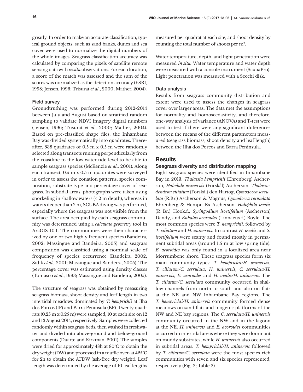greatly. In order to make an accurate classification, typical ground objects, such as sand banks, dunes and sea cover were used to normalize the digital numbers of the whole images. Seagrass classification accuracy was calculated by comparing the pixels of satellite remote sensing data with *in situ* observations. For each location, a score of the match was assessed and the sum of the scores was normalized as the detection accuracy (ESRI, 1998; Jensen, 1996; Trisurat *et al*., 2000; Mather, 2004).

#### Field survey

Groundtruthing was performed during 2012-2014 between July and August based on stratified random sampling to validate NDVI imagery digital numbers (Jensen, 1996; Trisurat *et al*., 2000; Mather, 2004). Based on pre-classified shape files, the Inhambane Bay was divided systematically into quadrates. Thereafter, 538 quadrates of 0.5 m x 0.5 m were randomly selected along transects running perpendicularly from the coastline to the low water tide level to be able to sample seagrass species (McKenzie *et al*., 2001). Along each transect, 0.5 m x 0.5 m quadrates were surveyed in order to assess the zonation patterns, species composition, substrate type and percentage cover of seagrass. In subtidal areas, photographs were taken using snorkeling in shallow waters  $(2 \text{ m depth})$ , whereas in waters deeper than 2 m, SCUBA diving was performed, especially where the seagrass was not visible from the surface. The area occupied by each seagrass community was determined using a *calculate geometry* tool in ArcGIS 10.1. The communities were then characterized by one or two highly frequent species (Bandeira, 2002; Massingue and Bandeira, 2005) and seagrass composition was classified using a nominal scale of frequency of species occurrence (Bandeira, 2002; Sidik *et al.,* 2001; Massingue and Bandeira, 2005). The percentage cover was estimated using density classes (Tomasco *et al*., 1993; Massingue and Bandeira, 2005).

The structure of seagrass was obtained by measuring seagrass biomass, shoot density and leaf length in two intertidal meadows dominated by *T. hemprichii* at Ilha dos Porcos (IP) and Barra Peninsula (BP). Twenty quadrats (0.25 m x 0.25 m) were sampled, 10 at each site on 12 and 13 August 2014, respectively. Samples were collected randomly within seagrass beds, then washed in freshwater and divided into above-ground and below-ground components (Duarte and Kirkman, 2001). The samples were dried for approximately 48h at 80°C to obtain the dry weight (DW) and processed in a muffle oven at 425°C for 2h to obtain the AFDW (ash-free dry weight). Leaf length was determined by the average of 10 leaf lengths

measured per quadrat at each site, and shoot density by counting the total number of shoots per m2.

Water temperature, depth, and light penetration were measured *in situ.* Water temperature and water depth were measured with a console instrument (ScubaPro). Light penetration was measured with a Secchi disk.

#### Data analysis

Results from seagrass community distribution and extent were used to assess the changes in seagrass cover over larger areas. The data met the assumptions for normality and homoscedasticity, and therefore, one-way analysis of variance (ANOVA) and T-test were used to test if there were any significant differences between the means of the different parameters measured (seagrass biomass, shoot density and leaf length) between the Ilha dos Porcos and Barra Peninsula.

#### **Results**

#### Seagrass diversity and distribution mapping

Eight seagrass species were identified in Inhambane Bay in 2013: *Thalassia hemprichii* (Ehrenberg) Ascherson, *Halodule uninervis* (Forskål) Ascherson, *Thalassodendron ciliatum* (Forskȧl) den Hartog, *Cymodocea serrulata* (R.Br.) Ascherson & Magnus, *Cymodocea rotundata*  Ehrenberg & Hempr. Ex Ascherson, *Halophila ovalis*  (R Br.) Hook.f., *Syringodium isoetifolium* (Ascherson) Dandy, and *Enhalus acoroides* (Linnaeus f.) Royle. The most common species were *T. hemprichii,* followed by *T. ciliatum* and *H. uninervis*. In contrast *H. ovalis* and *S. isoetifolium* were scanty and found mostly in permanent subtidal areas (around 1.5 m at low spring tide). *E. acoroides* was only found in a localized area near Morrumbene shore. These seagrass species form six main community types: *T. hemprichii/H. uninervis*, *T. ciliatum/C. serrulata*, *H. uninervis*, *C. serrulata/H. uninervis*, *E. acoroides* and *H. ovalis/H. uninervis*. The *T. ciliatum/C. serrulata* community occurred in shallow channels from north to south and also on flats at the NE and NW Inhambane Bay regions. The *T. hemprichii/H. uninervis* community formed dense meadows on sand flats and biogenic platforms of the NW and NE bay regions. The *C. serrulata/H. uninervis*  community occurred in the NW and in the lagoon at the NE. *H. uninervis* and *E. acoroides* communities occurred in intertidal areas where they were dominant on muddy substrates, while *H. uninervis* also occurred in subtidal areas. *T. hemprichii/H. uninervis* followed by *T. ciliatum/C. serrulata* were the most species-rich communities with seven and six species represented, respectively (Fig. 2; Table 2).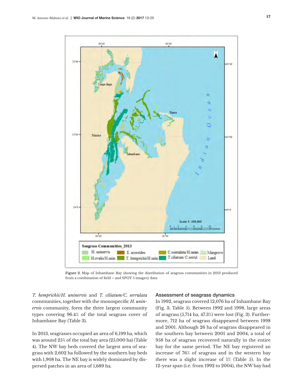

**Figure 2.** Map of Inhambane Bay showing the distribution of seagrass communities in 2013 produced from a combination of field – and SPOT 5 imagery data.

*T. hemprichii/H. uninervis* and *T. ciliatum/C. serrulata*  Figure 2. communities, together with the monospecific *H. uninervis* community, form the three largest community types covering 96.4% of the total seagrass cover of Inhambane Bay (Table 3).

In 2013, seagrasses occupied an area of 6,199 ha, which was around 25% of the total bay area (25,000 ha) (Table 4). The NW bay beds covered the largest area of seagrass with 2,602 ha followed by the southern bay beds with 1,908 ha. The NE bay is widely dominated by dispersed patches in an area of 1,689 ha.

#### Assessment of seagrass dynamics

In 1992, seagrass covered 12,076 ha of Inhambane Bay (Fig. 3; Table 5). Between 1992 and 1998, large areas of seagrass (5,714 ha, 47.3%) were lost (Fig. 3). Furthermore, 712 ha of seagrass disappeared between 1998 and 2001. Although 26 ha of seagrass disappeared in the southern bay between 2001 and 2004, a total of 958 ha of seagrass recovered naturally in the entire bay for the same period. The NE bay registered an increase of 76% of seagrass and in the western bay there was a slight increase of 1% (Table 5). In the 12-year span (i.e. from 1992 to 2004), the NW bay had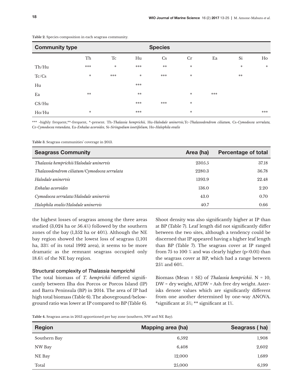| <b>Community type</b> |        |     |       | <b>Species</b> |        |     |        |        |
|-----------------------|--------|-----|-------|----------------|--------|-----|--------|--------|
|                       | Th     | Tc  | Hu    | Cs             | Cr     | Ea  | Si     | $H_0$  |
| Th/Hu                 | ***    | *   | ***   | $**$           | *      |     | $\ast$ | $\ast$ |
| Tc/Cs                 | *      | *** | *     | ***            | *      |     | $***$  |        |
| Hu                    |        |     | ***   |                |        |     |        |        |
| Ea                    | **     |     | $***$ |                | *      | *** |        |        |
| CS/Hu                 |        |     | ***   | ***            | $\ast$ |     |        |        |
| Ho/Hu                 | $\ast$ |     | ***   |                | $\ast$ |     |        | ***    |

**Table 2.** Species composition in each seagrass community.

\*\*\* -highly frequent,\*\*-frequent, \*-present. Th-*Thalassia hemprichii,* Hu-*Halodule uninervis,*Tc-*Thalassodendrom ciliatum,* Cs-*Cymodocea serrulata,*  Cr-*Cymodocea rotundata,* Ea-*Enhalus acoroides,* Si-*Siringodium isoetifolium,* Ho-*Halophila ovalis*

**Table 3.** Seagrass communities' coverage in 2013.

| <b>Seagrass Community</b>                    | Area (ha) | <b>Percentage of total</b> |
|----------------------------------------------|-----------|----------------------------|
| Thalassia hemprichii/Halodule uninervis      | 2305.5    | 37.18                      |
| Thalassodendrom ciliatum/Cymodocea serrulata | 2280.3    | 36.78                      |
| Halodule uninervis                           | 1393.9    | 22.48                      |
| Enhalus acoroides                            | 136.0     | 2.20                       |
| Cymodocea serrulata/Halodule uninervis       | 43.0      | 0.70                       |
| Halophila ovalis/Halodule uninervis          | 40.7      | 0.66                       |

the highest losses of seagrass among the three areas studied (3,024 ha or 56.4%) followed by the southern zones of the bay (1,352 ha or 40%). Although the NE bay region showed the lowest loss of seagrass (1,101 ha, 33% of its total 1992 area), it seems to be more dramatic as the remnant seagrass occupied only 18.6% of the NE bay region.

#### Structural complexity of *Thalassia hemprichii*

The total biomass of *T. hemprichii* differed significantly between Ilha dos Porcos or Porcos Island (IP) and Barra Peninsula (BP) in 2014. The area of IP had high total biomass (Table 6). The aboveground/belowground ratio was lower at IP compared to BP (Table 6).

Shoot density was also significantly higher at IP than at BP (Table 7). Leaf length did not significantly differ between the two sites, although a tendency could be discerned that IP appeared having a higher leaf length than BP (Table 7). The seagrass cover at IP ranged from 75 to 100 % and was clearly higher ( $p<0.01$ ) than the seagrass cover at BP, which had a range between 25% and 60%.

Biomass (Mean ± SE) of *Thalassia hemprichii*. N = 10, DW = dry weight, AFDW = Ash free dry weight. Asterisks denote values which are significantly different from one another determined by one-way ANOVA. \*significant at 5%; \*\* significant at 1%.

**Table 4.** Seagrass areas in 2013 apportioned per bay zone (southern, NW and NE Bay).

| <b>Region</b> | Mapping area (ha) | Seagrass (ha) |
|---------------|-------------------|---------------|
| Southern Bay  | 6,592             | 1,908         |
| NW Bay        | 6,408             | 2,602         |
| NE Bay        | 12,000            | 1,689         |
| Total         | 25,000            | 6,199         |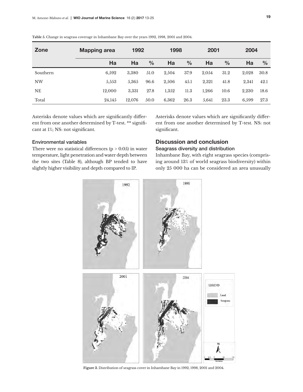| Zone      | <b>Mapping area</b> | 1992   |               |       | 1998          |       | 2001          |       | 2004          |  |
|-----------|---------------------|--------|---------------|-------|---------------|-------|---------------|-------|---------------|--|
|           | Ha                  | Ha     | $\frac{0}{0}$ | Ha    | $\frac{0}{0}$ | Ha    | $\frac{0}{0}$ | Ha    | $\frac{0}{0}$ |  |
| Southern  | 6,592               | 3,380  | 51.0          | 2,504 | 37.9          | 2,054 | 31.2          | 2,028 | 30.8          |  |
| <b>NW</b> | 5,553               | 5,365  | 96.6          | 2,506 | 45.1          | 2,321 | 41.8          | 2,341 | 42.1          |  |
| <b>NE</b> | 12.000              | 3.331  | 27.8          | 1,352 | 11.3          | 1,266 | 10.6          | 2.230 | 18.6          |  |
| Total     | 24,145              | 12.076 | 50.0          | 6,362 | 26.3          | 5.641 | 23.3          | 6.599 | 27.3          |  |

**Table 5.** Change in seagrass coverage in Inhambane Bay over the years 1992, 1998, 2001 and 2004.

Asterisks denote values which are significantly different from one another determined by T-test. \*\* significant at 1%; NS: not significant.

Asterisks denote values which are significantly different from one another determined by T-test. NS: not significant.

#### Environmental variables

There were no statistical differences ( $p > 0.05$ ) in water temperature, light penetration and water depth between the two sites (Table 8), although BP tended to have slightly higher visibility and depth compared to IP.

#### Discussion and conclusion Seagrass diversity and distribution

Inhambane Bay, with eight seagrass species (comprising around 13% of world seagrass biodiversity) within only 25 000 ha can be considered an area unusually



**Figure 3.** Distribution of seagrass cover in Inhambane Bay in 1992, 1998, 2001 and 2004.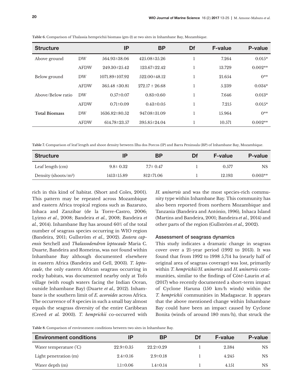| <b>Structure</b>     |             | IP                  | <b>BP</b>          | Df | <b>F-value</b> | <b>P-value</b> |
|----------------------|-------------|---------------------|--------------------|----|----------------|----------------|
| Above ground         | <b>DW</b>   | 564.93±38.06        | $425.08 \pm 35.26$ |    | 7.264          | $0.015*$       |
|                      | <b>AFDW</b> | $249.30 \pm 25.42$  | 123.67±22.42       |    | 13.729         | $0.002**$      |
| Below ground         | <b>DW</b>   | 1071.89±107.92      | 522.00±48.12       |    | 21.654         | $0**$          |
|                      | <b>AFDW</b> | $365.48 \pm 30.81$  | $272.17 \pm 26.68$ |    | 5.239          | $0.034*$       |
| Above/Below ratio    | <b>DW</b>   | $0.57 \pm 0.07$     | $0.83 \pm 0.60$    |    | 7.646          | $0.013*$       |
|                      | <b>AFDW</b> | $0.71 \pm 0.09$     | $0.43 \pm 0.05$    |    | 7.215          | $0.015*$       |
| <b>Total Biomass</b> | <b>DW</b>   | $1636.82 \pm 80.52$ | 947.08±31.09       |    | 15.964         | $0**$          |
|                      | <b>AFDW</b> | 614.78±23.57        | $395.85 \pm 24.04$ |    | 10.571         | $0.002**$      |

**Table 6.** Comparison of Thalassia hemprichii biomass (gm-2) at two sites in Inhambane Bay, Mozambique.

**Table 7.** Comparison of leaf length and shoot density between Ilha dos Porcos (IP) and Barra Peninsula (BP) of Inhambane Bay, Mozambique.

| <b>Structure</b>         | ΙP               | ΒP              | Df | <b>F-value</b> | P-value   |
|--------------------------|------------------|-----------------|----|----------------|-----------|
| Leaf length (cm)         | $9.8 \pm 0.32$   | $7.7 \pm 0.47$  |    | 0.577          | NS        |
| Density (shoots/ $m^2$ ) | $1413 \pm 15.89$ | $812 \pm 71.06$ |    | 12.193         | $0.003**$ |

rich in this kind of habitat. (Short and Coles, 2001). This pattern may be repeated across Mozambique and eastern Africa tropical regions such as Bazaruto, Inhaca and Zanzibar (de la Torre-Castro, 2006; Lyimo *et al*., 2008; Bandeira *et al.*, 2008; Bandeira *et al.*, 2014). Inhambane Bay has around 60% of the total number of seagrass species occurring in WIO region (Bandeira, 2011; Gullström *et al.*, 2002). *Zostera capensis* Setchell and *Thalassodendron leptocaule* Maria C. Duarte, Bandeira and Romeiras, was not found within Inhambane Bay although documented elsewhere in eastern Africa (Bandeira and Gell, 2003). *T. leptocaule*, the only eastern African seagrass occurring in rocky habitats, was documented nearby only at Tofo village (with rough waters facing the Indian Ocean, outside Inhambane Bay) (Duarte *et al.,* 2012). Inhambane is the southern limit of *E. acoroides* across Africa. The occurrence of 8 species in such a small bay almost equals the seagrass diversity of the entire Caribbean (Creed *et al.* 2003). *T. hemprichii* co-occurred with

*H. uninervis* and was the most species-rich community type within Inhambane Bay. This community has also been reported from northern Mozambique and Tanzania (Bandeira and António, 1996), Inhaca Island (Martins and Bandeira, 2001; Bandeira *et al.*, 2014) and other parts of the region (Gullström *et al.,* 2002).

#### Assessment of seagrass dynamics

This study indicates a dramatic change in seagrass cover over a 21-year period (1992 to 2013). It was found that from 1992 to 1998 5,714 ha (nearly half of original area of seagrass coverage) was lost, primarily within *T. hemprichii/H. uninervis* and *H. uninervis* communities, similar to the findings of Côté-Laurin *et al.* (2017) who recently documented a short-term impact of Cyclone Haruna (150 km/h winds) within the *T. hemprichii* communities in Madagascar. It appears that the above mentioned change within Inhambane Bay could have been an impact caused by Cyclone Bonita (winds of around 180 mm/h), that struck the

**Table 8.** Comparison of environment conditions between two sites in Inhambane Bay.

| <b>Environment conditions</b> | IP              | ΒP              | Df | <b>F-value</b> | P-value   |
|-------------------------------|-----------------|-----------------|----|----------------|-----------|
| Water temperature (°C)        | $22.9 \pm 0.35$ | $22.2 \pm 0.29$ |    | 2.384          | NS        |
| Light penetration (m)         | $2.4 \pm 0.16$  | $2.9 \pm 0.18$  |    | 4.245          | <b>NS</b> |
| Water depth (m)               | $1.1 \pm 0.06$  | $1.4 \pm 0.14$  |    | 4.151          | <b>NS</b> |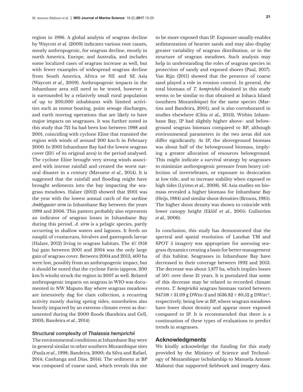region in 1996. A global analysis of seagrass decline by Waycott *et al.* (2009) indicates various root causes, mostly anthropogenic, for seagrass decline, mostly in north America, Europe, and Australia, and includes some localized cases of seagrass increase as well, but with fewer examples of widespread seagrass decline from South America, Africa or NE and SE Asia (Waycott *et al*., 2009). Anthropogenic impacts in the Inhambane area still need to be tested, however it is surrounded by a relatively small rural population of up to 200,000 inhabitants with limited activities such as motor boating, point sewage discharges, and earth moving operations that are likely to have major impacts on seagrasses. It was further noted in this study that 721 ha had been lost between 1998 and 2001, coinciding with cyclone Eline that transited the region with winds of around 200 km/h in February 2000. In 2001 Inhambane Bay had the lowest seagrass cover (23% of its original area) in the period analysed. The cyclone Eline brought very strong winds associated with intense rainfall and created the worst natural disaster in a century (Mavume *et al*., 2014). It is suggested that the rainfall and flooding might have brought sediments into the bay impacting the seagrass meadows. Halare (2012) showed that 2001 was the year with the lowest annual catch of the sardine *Amblygaster sirm* in Inhambane Bay between the years 1999 and 2006. This pattern probably also represents an indicator of seagrass losses in Inhambane Bay during this period. *A. sirm* is a pelagic species, partly occurring in shallow waters and lagoons. It feeds on nauplii of crustaceans, bivalves and gastropods larvae (Halare, 2012) living in seagrass habitats. The 4% (958 ha) gain between 2001 and 2004 was the only large gain of seagrass cover. Between 2004 and 2013, 400 ha were lost, possibly from an anthropogenic impact, but it should be noted that the cyclone Favio (approx. 200 km/h winds) struck the region in 2007 as well. Related anthropogenic impacts on seagrass in WIO was documented in NW Maputo Bay where seagrass meadows are intensively dag for clam collection, a recurring activity mostly during spring tides; nonetheless also heavily impacted by an extreme climate event as documented during the 2000 floods (Bandeira and Gell, 2003; Bandeira *et al.*, 2014)

#### Structural complexity of *Thalassia hemprichii*

The environmental conditions at Inhambane Bay were in general similar to other southern Mozambique sites (Paula *et al*., 1998; Bandeira, 2000; da Silva and Rafael, 2014; Canhanga and Dias, 2014). The sediment at BP was composed of coarse sand, which reveals this site

to be more exposed than IP. Exposure usually enables sedimentation of heavier sands and may also display greater variability of seagrass distribution, or in the structure of seagrass meadows. Such analysis may help in understanding the roles of seagrass species in protection of sandy and exposed shores (Paul, 2017). Van Rijn (2011) showed that the presence of coarse sand played a role in erosion control. In general, the total biomass of *T. hemprichii* obtained in this study seems to be similar to that obtained at Inhaca Island (southern Mozambique) for the same species (Martins and Bandeira, 2001), and is also corroborated in studies elsewhere (Chiu *et al.,* 2013). Within Inhambane Bay, IP had slightly higher above- and belowground seagrass biomass compared to BP, although environmental parameters in the two areas did not differ significantly. At IP, the aboveground biomass was about half of the belowground biomass, implying a greater allocation of resources belowground. This might indicate a survival strategy by seagrasses to minimize anthropogenic pressure from heavy collection of invertebrates, or exposure to desiccation at low tide, and to increase stability when exposed to high tides (Lyimo *et al.*, 2008). SE Asia studies on biomass revealed a higher biomass for Inhambane Bay (Heijs, 1984) and similar shoot densities (Brouns, 1985). The higher shoot density was shown to coincide with lower canopy height (Eklöf e*t al*., 2005; Gullström *et al.,* 2006).

In conclusion, this study has demonstrated that the spectral and spatial resolution of Landsat TM and SPOT 5 imagery was appropriate for assessing seagrass dynamics creating a basis for better management of this habitat. Seagrasses in Inhambane Bay have decreased in their coverage between 1992 and 2013. The decrease was about 5,877 ha, which implies losses of 50% over these 21 years. It is postulated that some of this decrease may be related to recorded climate events. *T. hemprichii* seagrass biomass varied between  $947.08 \pm 31.09$  g DWm-2 and  $1636.82 \pm 80.52$  g DWm<sup>-2</sup>, respectively, being low at BP, where seagrass meadows have lower shoot density and appear more exposed compared to IP. It is recommended that there is a continuation of these types of evaluations to predict trends in seagrasses.

#### Acknowledgments

We kindly acknowledge the funding for this study provided by the Ministry of Science and Technology of Mozambique (scholarship to Manuela Amone Mabuto) that supported fieldwork and imagery data.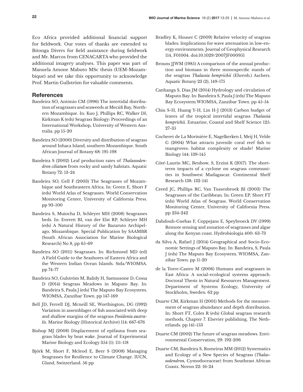Eco Africa provided additional financial support for fieldwork. Our votes of thanks are extended to Bitonga Divers for field assistance during fieldwork and Mr. Marcos from CENACARTA who provided the additional imagery analyses. This paper was part of Manuela Amone Mabuto MSc thesis (UEM-Mozambique) and we take this opportunity to acknowledge Prof. Martin Gullström for valuable comments.

#### **References**

- Bandeira SO, António CM (1996) The intertidal distribution of seagrasses and seaweeds at Mecúfi Bay, Northern Mozambique. In: Kuo J, Phillips RC, Walker DI, Kirkman K (eds) Seagrass Biology: Proceedings of an International Workshop, University of Western Australia. pp 15-20
- Bandeira SO (2000) Diversity and distribution of seagrass around Inhaca Island, southern Mozambique. South African Journal of Botany 68: 191-198
- Bandeira S (2002) Leaf production rates of *Thalassodendron ciliatum* from rocky and sandy habitats. Aquatic Botany 72: 13-24
- Bandeira SO, Gell F (2003) The Seagrasses of Mozambique and Southeastern Africa. In: Green E, Short F (eds) World Atlas of Seagrasses. World Conservation Monitoring Center, University of California Press. pp 93-100
- Bandeira S, Muiocha D, Schleyer MH (2008) Seagrasses beds. In: Everett BI, van der Elst RP, Schleyer MH (eds) A Natural History of the Bazaruto Archipelago, Mozambique. Special Publication by SAAMBR (South African Association for Marine Biological Research) No 8, pp 65-69
- Bandeira SO (2011) Seagrasses. In: Richmond MD (ed) A Field Guide to the Seashores of Eastern Africa and the Western Indian Ocean Islands. Sida/WIOMSA. pp 74-77
- Bandeira SO, Gulström M, Balidy H, Samussone D, Cossa D (2014) Seagrass Meadows in Maputo Bay. In: Bandeira S, Paula J (eds) The Maputo Bay Ecosystem*.*  WIOMSA, Zanzibar Town. pp 147-169
- Bell JD, Ferrell DJ, Mcneill SE, Worthington, DG (1992) Variation in assemblages of fish associated with deep and shallow margins of the seagrass *Posidonia australis*. Marine Biology (Historical Archive) 114: 667-676
- Bishop MJ (2008) Displacement of epifauna from seagrass blades by boat wake. Journal of Experimental Marine Biology and Ecology 354 (1): 111-118
- Björk M, Short F, Mcleod E, Beer S (2008) Managing Seagrasses for Resilience to Climate Change. IUCN, Gland, Switzerland. 56 pp
- Bradley K, Houser C (2009) Relative velocity of seagrass blades: Implications for wave attenuation in low-energy environments. Journal of Geophysical Research 114, F01004. doi:10.1029/2007JF000951
- Brouns JJWM (1985) A comparison of the annual production and biomass in three monospecific stands of the seagrass *Thalassia hemprichii* (Ehrenb.) Aschers. Aquatic Botany 23 (2), 149-175
- Canhanga S, Dias JM (2014) Hydrology and circulation of Maputo Bay. In: Bandeira S, Paula J (eds) The Maputo Bay Ecosystem*.*WIOMSA, Zanzibar Town. pp 45-54
- Chiu S-H, Huang Y-H, Lin H-J (2013) Carbon budget of leaves of the tropical intertidal seagrass *Thalassia hemprichii.* Estuarine, Coastal and Shelf Science 125: 27-35
- Cocheret de La Morinière E, Nagelkerken I, Meij H, Velde G (2004) What attracts juvenile coral reef fish to mangroves: habitat complexity or shade? Marine Biology 144: 139-145
- Côté-Laurin MC, Benbow, S, Erzini K (2017). The shortterm impacts of a cyclone on seagrass communities in Southwest Madagascar. Continental Shelf Research 138: 132-141
- Creed JC, Phillips RC, Van Tussenbroek BI (2003) The Seagrasses of the Caribbean. In: Green EP, Short FT (eds) World Atlas of Seagrass. World Conservation Monitoring Center, University of California Press. pp 234-242
- Dahdouh-Guebas F, Coppejans E, Speybroeck DV (1999) Remote sensing and zonation of seagrasses and algae along the Kenyan coast. Hydrobiologia 400: 63-73
- da Silva A, Rafael J (2014) Geographical and Socio-Economic Settings of Maputo Bay. In: Bandeira, S, Paula J (eds) The Maputo Bay Ecosystem*.* WIOMSA, Zanzibar Town. pp 11-20
- de la Torre-Castro M (2006) Humans and seagrasses in East Africa: A social-ecological systems approach. Doctoral Thesis in Natural Resources Management. Department of Systems Ecology, University of Stockholm, Sweden. 62 pp
- Duarte CM, Kirkman H (2001) Methods for the measurement of seagrass abundance and depth distribution. In: Short FT, Coles R (eds) Global seagrass research methods*,* Chapter 7. Elsevier publishing, The Netherlands. pp 141-153
- Duarte CM (2002) The future of seagrass meadows. Environmental Conservation, 29: 192-206
- Duarte CM, Bandeira S, Romeiras MM (2012) Systematics and Ecology of a New Species of Seagrass (*Thalassodendron,* Cymodoceaceae) from Southeast African Coasts. Novon 22: 16-24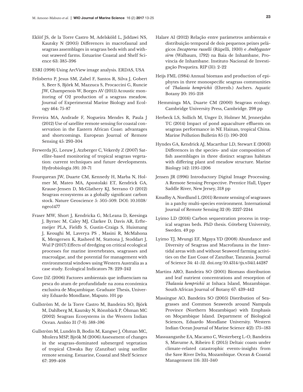Eklöf JS, de la Torre Castro M, Adelsköld L, Jiddawi NS, Kautsky N (2005) Differences in macrofaunal and seagrass assemblages in seagrass beds with and without seaweed farms. Estuarine Coastal and Shelf Science 63: 385-396

ESRI (1998) Using ArcView image analysis. ERDAS, USA

- Felisberto P, Jesus SM, Zabel F, Santos R, Silva J, Gobert S, Beer S, Björk M, Mazzuca S, Procaccini G, Runcie JW, Champenois W, Borges AV (2015) Acoustic monitoring of O2 production of a seagrass meadow*.*  Journal of Experimental Marine Biology and Ecology 464: 75-87
- Ferreira MA, Andrade F, Nogueira Mendes R, Paula J (2012) Use of satellite remote sensing for coastal conservation in the Eastern African Coast: advantages and shortcomings. European Journal of Remote Sensing 45: 293-304
- Ferwerda JG, Leeuw J, Atzberger C, Vekerdy Z (2007) Satellite-based monitoring of tropical seagrass vegetation: current techniques and future developments. Hydrobiologia 591: 59-71
- Fourqurean JW, Duarte CM, Kennedy H, Marba N, Holmer M, Mateo MA, Apostolaki ET, Kendrick GA, Krause-Jensen D, McGlathery KJ, Serrano O (2012) Seagrass ecosystems as a globally significant carbon stock. Nature Geoscience 5: 505-509. DOI: 10.1038/ ngeo1477
- Fraser MW, Short J, Kendricka G, McLeana D, Keesinga J, Byrnec M, Caley MJ, Clarkee D, Davis AR, Erftemeijer PLA, Fieldb S, Gustin-Craiga S, Huismang J, Keoughi M, Laverya PS , Masini R, McMahona K, Mengersen K, Rasheed M, Stattona J, Stoddart J, Wul P (2017) Effects of dredging on critical ecological processes for marine invertebrates, seagrasses and macroalgae, and the potential for management with environmental windows using Western Australia as a case study. Ecological Indicators 78: 229-242
- Gove DZ (2006) Factores ambientais que influenciam na pesca do atum de profundidade na zona económica exclusiva de Moçambique. Graduate Thesis, University Eduardo Mondlane, Maputo. 101 pp
- Gullström M, de la Torre Castro M, Bandeira SO, Björk M, Dahlberg M, Kautsky N, Rönnbäck P, Öhman MC (2002) Seagrass Ecosystems in the Western Indian Ocean. Ambio 31 (7-8): 588-596
- Gullström M, Lundén B, Bodin M, Kangwe J, Öhman MC, Mtolera MSP, Bjrök M (2006) Assessment of changes in the seagrass-dominated submerged vegetation of tropical Chwaka Bay (Zanzibar) using satellite remote sensing. Estuarine, Coastal and Shelf Science 67: 399-408
- Halare AI (2012) Relação entre parâmetros ambientais e distribuição temporal de dois pequenos peixes pelágicos *Decapterus russelli* (Rüpelli, 1930) e *Amblygaster sirm* (Walbaum, 1792) na Baia de Inhambane, Província de Inhambane. Instituto Nacional de Investigação Pesqueira. RIP (31): 2-22
- Heijs FML (1984) Annual biomass and production of epiphytes in three monospecific seagrass communities of *Thalassia hemprichii* (Ehrenb.) Aschers. Aquatic Botany 20: 195-218
- Hemminga MA, Duarte CM (2000) Seagrass ecology. Cambridge University Press, Cambridge. 298 pp
- Herbeck LS, Sollich M, Unger D, Holmer M, Jennerjahn TC (2014) Impact of pond aquaculture effluents on seagrass performance in NE Hainan, tropical China. Marine Pollution Bulletin 85 (1): 190-203
- Hyndes GA, Kendrick AJ, Macarthur LD, Stewart E (2003) Differences in the species- and size composition of fish assemblages in three distinct seagrass habitats with differing plant and meadow structure. Marine Biology 142: 1195-1206
- Jensen JR (1996) Introductory Digital Image Processing. A Remote Sensing Perspective. Prentice Hall, Upper Saddle River, New Jersey, 318 pp
- Knudby A, Nordlund L (2011) Remote sensing of seagrasses in a patchy multi-species environment. International Journal of Remote Sensing 32 (8): 2227-2244
- Lyimo LD (2016) Carbon sequestration process in tropical seagrass beds. PhD thesis. Göteberg University, Sweden. 49 pp
- Lyimo TJ, Mvungi EF, Mgaya YD (2008) Abundance and Diversity of Seagrass and Macrofauna in the Intertidal areas with and without Seaweed farming activities on the East Coast of Zanzibar, Tanzania. Journal of Science 34: 41-52. doi.org/10.4314/tjs.v34i1.44287
- Martins ARO, Bandeira SO (2001) Biomass distribution and leaf nutrient concentrations and resorption of *Thalassia hemprichii* at Inhaca Island, Mozambique. South African Journal of Botany 67: 439-442
- Massingue AO, Bandeira SO (2005) Distribution of Seagrasses and Common Seaweeds around Nampula Province (Northern Mozambique) with Emphasis on Moçambique Island. Department of Biological Sciences, Eduardo Mondlane University*.* Western Indian Ocean Journal of Marine Science 4(2): 175–183
- Massuanganhe EA, Macamo C, Westerberg L-O, Bandeira S, Mavume A, Ribeiro E (2015) Deltaic coasts under climate-related catastrophic events-insights from the Save River Delta, Mozambique. Ocean & Coastal Management 116: 331-340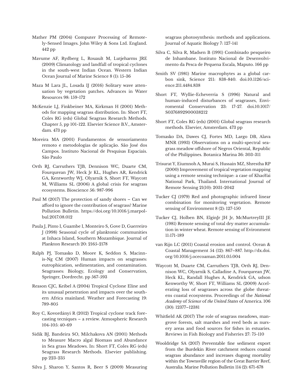- Mather PM (2004) Computer Processing of Remotely-Sensed Images. John Wiley & Sons Ltd. England. 442 pp
- Mavume AF, Rydberg L, Rouault M, Lutjeharms JRE (2009) Climatology and landfall of tropical cyclones in the south-west Indian Ocean. Western Indian Ocean Journal of Marine Science 8 (1): 15-36
- Maza M Lara JL, Losada IJ (2016) Solitary wave attenuation by vegetation patches. Advances in Water Resources 98: 159-172
- McKenzie LJ, Finkbeiner MA, Kirkman H (2001) Methods for mapping seagrass distribution. In: Short FT, Coles RG (eds) Global Seagrass Research Methods. Chapter 5, pp 101-122. Elsevier Science B.V., Amsterdam. 473 pp
- Moreira MA (2001) Fundamentos de sensoriamento remoto e metodologias de aplicação. São José dos Campos. Instituto Nacional de Pesquisas Espaciais. São Paulo
- Orth RJ, Carruthers TJB, Dennison WC, Duarte CM, Fourqurean JW, Heck Jr KL, Hughes AR, Kendrick GA, Kentworthy WJ, Olyarnik S, Short FT, Waycott M, Williams SL (2006) A global crisis for seagrass ecosystems. Bioscience 56: 987-996
- Paul M (2017) The protection of sandy shores Can we afford to ignore the contribution of seagrass? Marine Pollution Bulletin. https://doi.org/10.1016/j.marpolbul.2017.08.012
- Paula J, Pinto I, Guambe I, Monteiro S, Gove D, Guerreiro J (1998) Seasonal cycle of planktonic communities at Inhaca Island, Southern Mozambique. Journal of Plankton Research 20: 2165-2178
- Ralph PJ, Tomasko D, Moore K, Seddon S, Macinnis-Ng CM (2007) Human impacts on seagrasses: eutrophication, sedimentation, and contamination. Seagrasses: Biology, Ecology and Conservation, Springer, Dordrecht. pp 567-593
- Reason CJC, Keibel A (2004) Tropical Cyclone Eline and its unusual penetration and impacts over the southern Africa mainland. Weather and Forecasting 19: 789-805
- Roy C, Kovordányi R (2012) Tropical cyclone track forecasting tecniques – a review. Atmospheric Research 104-105: 40-69
- Sidik BJ, Bandeira SO, Milchakova AN (2001) Methods to Measure Macro algal Biomass and Abundance in Sea grass Meadows. In: Short FT, Coles RG (eds) Seagrass Research Methods. Elsevier publishing. pp 223-235

Silva J, Sharon Y, Santos R, Beer S (2009) Measuring

seagrass photosynthesis: methods and applications. Journal of Aquatic Biology 7: 127-141

- Silva C, Silva R, Madsen B (1991) Combinado pesqueiro de Inhambane**.** Instituto Nacional de Desenvolvimento da Pesca de Pequena Escala, Maputo. 166 pp
- Smith SV (1981) Marine macrophytes as a global carbon sink, Science 211: 838-840. doi:10.1126/science.211.4484.838
- Short FT, Wyllie-Echeverria S (1996) Natural and human-induced disturbances of seagrasses, Enviromental Conservation 23: 17-27. doi.10.1017/ S0376892900038212
- Short FT, Coles RG (eds) (2001) Global seagrass research methods. Elsevier, Amsterdam. 473 pp
- Tomasko DA, Dawes CJ, Fortes MD, Largo DB, Alava MNR (1993) Observations on a multi-spectral seagrass meadow offshore of Negros Oriental, Republic of the Philippines. Botanica Marina 36: 303-311
- Trisurat Y, Eiumnoh A, Murai S, Hussain MZ, Shrestha RP (2000) Improvement of tropical vegetation mapping using a remote sensing technique: a case of KhaoYai National Park, Thailand. International Journal of Remote Sensing 21(10): 2031-2042
- Tucker CJ (1979) Red and photographic infrared linear combination for monitoring vegetation. Remote sensing of Environment 8 (2): 127-150
- Tucker CJ, Holben BN, ElginJr JH Jr, McMurtreyIII JE (1981) Remote sensing of total dry matter accumulation in winter wheat. Remote sensing of Evironment 11:171-189
- van Rijn LC (2011) Coastal erosion and control. Ocean & Coastal Management 54 (12): 867–887. http://dx.doi. org/10.1016/j.ocecoaman.2011.05.004
- Waycott M, Duarte CM, Carruthers TJB, Orth RJ, Dennison WC, Olyarnik S, Calladine A, Fourqurean JW, Heck KL, Randall Hughes A, Kendrick GA, udson Kenworthy W, Short FT, Williams SL (2009) Accelerating loss of seagrasses across the globe threatens coastal ecosystems. Proceedings of the *National Academy* of *Science* of *the United States* of America. 106 (30): 12377–12381
- Whitfield AK (2017) The role of seagrass meadows, mangrove forests, salt marshes and reed beds as nursery areas and food sources for fishes in estuaries. Reviews in Fish Biology and Fisheries 27: 75-110
- Wooldridge SA (2017) Preventable fine sediment export from the Burdekin River catchment reduces coastal seagrass abundance and increases dugong mortality within the Townsville region of the Great Barrier Reef, Australia. Marine Pollution Bulletin 114 (2): 671-678